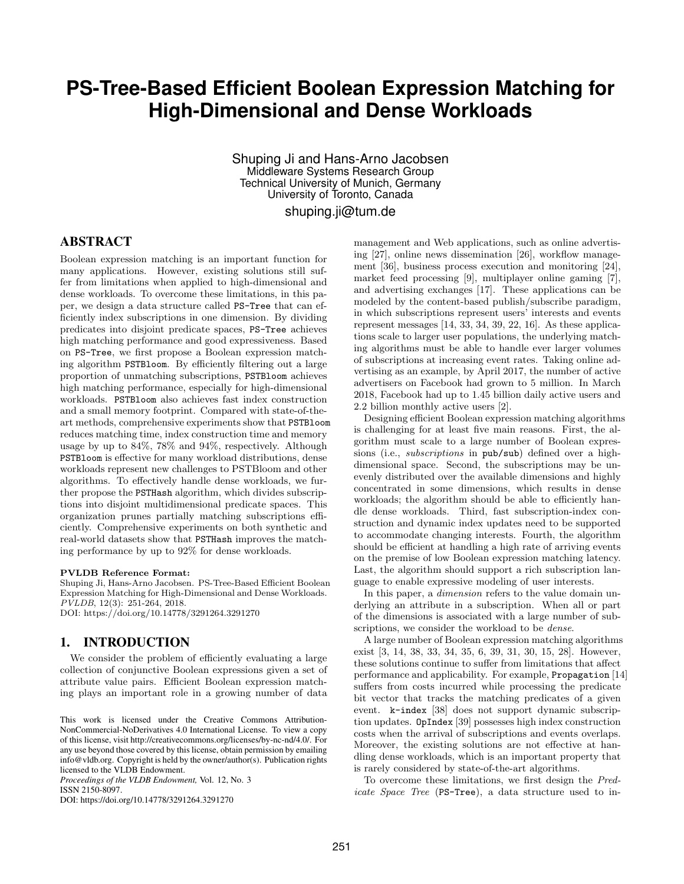# **PS-Tree-Based Efficient Boolean Expression Matching for High-Dimensional and Dense Workloads**

Shuping Ji and Hans-Arno Jacobsen Middleware Systems Research Group Technical University of Munich, Germany University of Toronto, Canada shuping.ji@tum.de

# ABSTRACT

Boolean expression matching is an important function for many applications. However, existing solutions still suffer from limitations when applied to high-dimensional and dense workloads. To overcome these limitations, in this paper, we design a data structure called PS-Tree that can efficiently index subscriptions in one dimension. By dividing predicates into disjoint predicate spaces, PS-Tree achieves high matching performance and good expressiveness. Based on PS-Tree, we first propose a Boolean expression matching algorithm PSTBloom. By efficiently filtering out a large proportion of unmatching subscriptions, PSTBloom achieves high matching performance, especially for high-dimensional workloads. PSTBloom also achieves fast index construction and a small memory footprint. Compared with state-of-theart methods, comprehensive experiments show that PSTBloom reduces matching time, index construction time and memory usage by up to 84%, 78% and 94%, respectively. Although PSTBloom is effective for many workload distributions, dense workloads represent new challenges to PSTBloom and other algorithms. To effectively handle dense workloads, we further propose the PSTHash algorithm, which divides subscriptions into disjoint multidimensional predicate spaces. This organization prunes partially matching subscriptions efficiently. Comprehensive experiments on both synthetic and real-world datasets show that PSTHash improves the matching performance by up to 92% for dense workloads.

### PVLDB Reference Format:

Shuping Ji, Hans-Arno Jacobsen. PS-Tree-Based Efficient Boolean Expression Matching for High-Dimensional and Dense Workloads. PVLDB, 12(3): 251-264, 2018. DOI: https://doi.org/10.14778/3291264.3291270

# 1. INTRODUCTION

We consider the problem of efficiently evaluating a large collection of conjunctive Boolean expressions given a set of attribute value pairs. Efficient Boolean expression matching plays an important role in a growing number of data

*Proceedings of the VLDB Endowment,* Vol. 12, No. 3 ISSN 2150-8097.

DOI: https://doi.org/10.14778/3291264.3291270

management and Web applications, such as online advertising [27], online news dissemination [26], workflow management [36], business process execution and monitoring [24], market feed processing [9], multiplayer online gaming [7], and advertising exchanges [17]. These applications can be modeled by the content-based publish/subscribe paradigm, in which subscriptions represent users' interests and events represent messages [14, 33, 34, 39, 22, 16]. As these applications scale to larger user populations, the underlying matching algorithms must be able to handle ever larger volumes of subscriptions at increasing event rates. Taking online advertising as an example, by April 2017, the number of active advertisers on Facebook had grown to 5 million. In March 2018, Facebook had up to 1.45 billion daily active users and 2.2 billion monthly active users [2].

Designing efficient Boolean expression matching algorithms is challenging for at least five main reasons. First, the algorithm must scale to a large number of Boolean expressions (i.e., *subscriptions* in  $\text{pub}/\text{sub}$ ) defined over a highdimensional space. Second, the subscriptions may be unevenly distributed over the available dimensions and highly concentrated in some dimensions, which results in dense workloads; the algorithm should be able to efficiently handle dense workloads. Third, fast subscription-index construction and dynamic index updates need to be supported to accommodate changing interests. Fourth, the algorithm should be efficient at handling a high rate of arriving events on the premise of low Boolean expression matching latency. Last, the algorithm should support a rich subscription language to enable expressive modeling of user interests.

In this paper, a dimension refers to the value domain underlying an attribute in a subscription. When all or part of the dimensions is associated with a large number of subscriptions, we consider the workload to be *dense*.

A large number of Boolean expression matching algorithms exist [3, 14, 38, 33, 34, 35, 6, 39, 31, 30, 15, 28]. However, these solutions continue to suffer from limitations that affect performance and applicability. For example, Propagation [14] suffers from costs incurred while processing the predicate bit vector that tracks the matching predicates of a given event. k-index [38] does not support dynamic subscription updates. OpIndex [39] possesses high index construction costs when the arrival of subscriptions and events overlaps. Moreover, the existing solutions are not effective at handling dense workloads, which is an important property that is rarely considered by state-of-the-art algorithms.

To overcome these limitations, we first design the Predicate Space Tree (PS-Tree), a data structure used to in-

This work is licensed under the Creative Commons Attribution-NonCommercial-NoDerivatives 4.0 International License. To view a copy of this license, visit http://creativecommons.org/licenses/by-nc-nd/4.0/. For any use beyond those covered by this license, obtain permission by emailing info@vldb.org. Copyright is held by the owner/author(s). Publication rights licensed to the VLDB Endowment.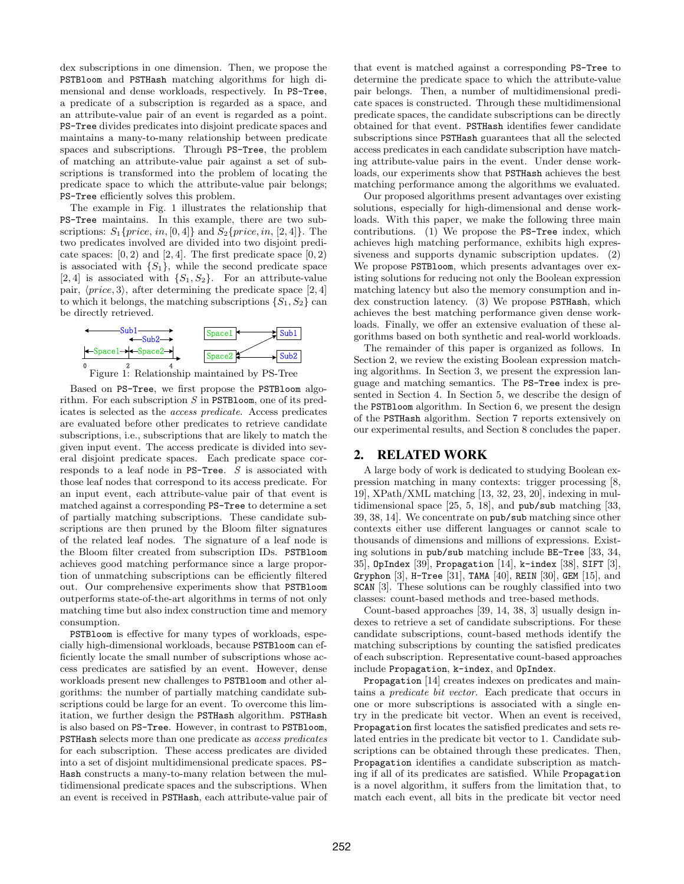dex subscriptions in one dimension. Then, we propose the PSTBloom and PSTHash matching algorithms for high dimensional and dense workloads, respectively. In PS-Tree, a predicate of a subscription is regarded as a space, and an attribute-value pair of an event is regarded as a point. PS-Tree divides predicates into disjoint predicate spaces and maintains a many-to-many relationship between predicate spaces and subscriptions. Through PS-Tree, the problem of matching an attribute-value pair against a set of subscriptions is transformed into the problem of locating the predicate space to which the attribute-value pair belongs; PS-Tree efficiently solves this problem.

The example in Fig. 1 illustrates the relationship that PS-Tree maintains. In this example, there are two subscriptions:  $S_1\{price, in, [0, 4]\}$  and  $S_2\{price, in, [2, 4]\}$ . The two predicates involved are divided into two disjoint predicate spaces:  $[0, 2)$  and  $[2, 4]$ . The first predicate space  $[0, 2)$ is associated with  $\{S_1\}$ , while the second predicate space [2, 4] is associated with  $\{S_1, S_2\}$ . For an attribute-value pair,  $\langle price, 3 \rangle$ , after determining the predicate space [2, 4] to which it belongs, the matching subscriptions  $\{S_1, S_2\}$  can be directly retrieved.





Based on PS-Tree, we first propose the PSTBloom algorithm. For each subscription  $S$  in PSTBloom, one of its predicates is selected as the access predicate. Access predicates are evaluated before other predicates to retrieve candidate subscriptions, i.e., subscriptions that are likely to match the given input event. The access predicate is divided into several disjoint predicate spaces. Each predicate space corresponds to a leaf node in  $PS$ -Tree.  $S$  is associated with those leaf nodes that correspond to its access predicate. For an input event, each attribute-value pair of that event is matched against a corresponding PS-Tree to determine a set of partially matching subscriptions. These candidate subscriptions are then pruned by the Bloom filter signatures of the related leaf nodes. The signature of a leaf node is the Bloom filter created from subscription IDs. PSTBloom achieves good matching performance since a large proportion of unmatching subscriptions can be efficiently filtered out. Our comprehensive experiments show that PSTBloom outperforms state-of-the-art algorithms in terms of not only matching time but also index construction time and memory consumption.

PSTBloom is effective for many types of workloads, especially high-dimensional workloads, because PSTBloom can efficiently locate the small number of subscriptions whose access predicates are satisfied by an event. However, dense workloads present new challenges to PSTBloom and other algorithms: the number of partially matching candidate subscriptions could be large for an event. To overcome this limitation, we further design the PSTHash algorithm. PSTHash is also based on PS-Tree. However, in contrast to PSTBloom, PSTHash selects more than one predicate as access predicates for each subscription. These access predicates are divided into a set of disjoint multidimensional predicate spaces. PS-Hash constructs a many-to-many relation between the multidimensional predicate spaces and the subscriptions. When an event is received in PSTHash, each attribute-value pair of that event is matched against a corresponding PS-Tree to determine the predicate space to which the attribute-value pair belongs. Then, a number of multidimensional predicate spaces is constructed. Through these multidimensional predicate spaces, the candidate subscriptions can be directly obtained for that event. PSTHash identifies fewer candidate subscriptions since PSTHash guarantees that all the selected access predicates in each candidate subscription have matching attribute-value pairs in the event. Under dense workloads, our experiments show that PSTHash achieves the best matching performance among the algorithms we evaluated.

Our proposed algorithms present advantages over existing solutions, especially for high-dimensional and dense workloads. With this paper, we make the following three main contributions. (1) We propose the PS-Tree index, which achieves high matching performance, exhibits high expressiveness and supports dynamic subscription updates. (2) We propose PSTBloom, which presents advantages over existing solutions for reducing not only the Boolean expression matching latency but also the memory consumption and index construction latency. (3) We propose PSTHash, which achieves the best matching performance given dense workloads. Finally, we offer an extensive evaluation of these algorithms based on both synthetic and real-world workloads.

The remainder of this paper is organized as follows. In Section 2, we review the existing Boolean expression matching algorithms. In Section 3, we present the expression language and matching semantics. The PS-Tree index is presented in Section 4. In Section 5, we describe the design of the PSTBloom algorithm. In Section 6, we present the design of the PSTHash algorithm. Section 7 reports extensively on our experimental results, and Section 8 concludes the paper.

### 2. RELATED WORK

A large body of work is dedicated to studying Boolean expression matching in many contexts: trigger processing [8, 19], XPath/XML matching [13, 32, 23, 20], indexing in multidimensional space  $[25, 5, 18]$ , and pub/sub matching  $[33, 5]$ 39, 38, 14]. We concentrate on pub/sub matching since other contexts either use different languages or cannot scale to thousands of dimensions and millions of expressions. Existing solutions in pub/sub matching include BE-Tree [33, 34, 35], OpIndex [39], Propagation [14], k-index [38], SIFT [3], Gryphon [3], H-Tree [31], TAMA [40], REIN [30], GEM [15], and SCAN [3]. These solutions can be roughly classified into two classes: count-based methods and tree-based methods.

Count-based approaches [39, 14, 38, 3] usually design indexes to retrieve a set of candidate subscriptions. For these candidate subscriptions, count-based methods identify the matching subscriptions by counting the satisfied predicates of each subscription. Representative count-based approaches include Propagation, k-index, and OpIndex.

Propagation [14] creates indexes on predicates and maintains a predicate bit vector. Each predicate that occurs in one or more subscriptions is associated with a single entry in the predicate bit vector. When an event is received, Propagation first locates the satisfied predicates and sets related entries in the predicate bit vector to 1. Candidate subscriptions can be obtained through these predicates. Then, Propagation identifies a candidate subscription as matching if all of its predicates are satisfied. While Propagation is a novel algorithm, it suffers from the limitation that, to match each event, all bits in the predicate bit vector need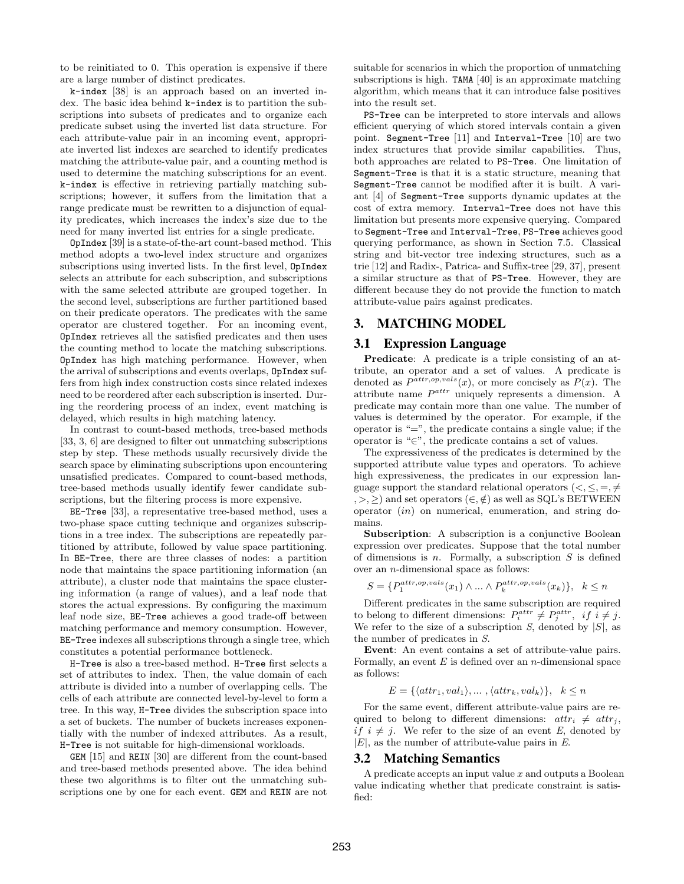to be reinitiated to 0. This operation is expensive if there are a large number of distinct predicates.

k-index [38] is an approach based on an inverted index. The basic idea behind k-index is to partition the subscriptions into subsets of predicates and to organize each predicate subset using the inverted list data structure. For each attribute-value pair in an incoming event, appropriate inverted list indexes are searched to identify predicates matching the attribute-value pair, and a counting method is used to determine the matching subscriptions for an event. k-index is effective in retrieving partially matching subscriptions; however, it suffers from the limitation that a range predicate must be rewritten to a disjunction of equality predicates, which increases the index's size due to the need for many inverted list entries for a single predicate.

OpIndex [39] is a state-of-the-art count-based method. This method adopts a two-level index structure and organizes subscriptions using inverted lists. In the first level, OpIndex selects an attribute for each subscription, and subscriptions with the same selected attribute are grouped together. In the second level, subscriptions are further partitioned based on their predicate operators. The predicates with the same operator are clustered together. For an incoming event, OpIndex retrieves all the satisfied predicates and then uses the counting method to locate the matching subscriptions. OpIndex has high matching performance. However, when the arrival of subscriptions and events overlaps, OpIndex suffers from high index construction costs since related indexes need to be reordered after each subscription is inserted. During the reordering process of an index, event matching is delayed, which results in high matching latency.

In contrast to count-based methods, tree-based methods [33, 3, 6] are designed to filter out unmatching subscriptions step by step. These methods usually recursively divide the search space by eliminating subscriptions upon encountering unsatisfied predicates. Compared to count-based methods, tree-based methods usually identify fewer candidate subscriptions, but the filtering process is more expensive.

BE-Tree [33], a representative tree-based method, uses a two-phase space cutting technique and organizes subscriptions in a tree index. The subscriptions are repeatedly partitioned by attribute, followed by value space partitioning. In BE-Tree, there are three classes of nodes: a partition node that maintains the space partitioning information (an attribute), a cluster node that maintains the space clustering information (a range of values), and a leaf node that stores the actual expressions. By configuring the maximum leaf node size, BE-Tree achieves a good trade-off between matching performance and memory consumption. However, BE-Tree indexes all subscriptions through a single tree, which constitutes a potential performance bottleneck.

H-Tree is also a tree-based method. H-Tree first selects a set of attributes to index. Then, the value domain of each attribute is divided into a number of overlapping cells. The cells of each attribute are connected level-by-level to form a tree. In this way, H-Tree divides the subscription space into a set of buckets. The number of buckets increases exponentially with the number of indexed attributes. As a result, H-Tree is not suitable for high-dimensional workloads.

GEM [15] and REIN [30] are different from the count-based and tree-based methods presented above. The idea behind these two algorithms is to filter out the unmatching subscriptions one by one for each event. GEM and REIN are not suitable for scenarios in which the proportion of unmatching subscriptions is high. TAMA [40] is an approximate matching algorithm, which means that it can introduce false positives into the result set.

PS-Tree can be interpreted to store intervals and allows efficient querying of which stored intervals contain a given point. Segment-Tree [11] and Interval-Tree [10] are two index structures that provide similar capabilities. Thus, both approaches are related to PS-Tree. One limitation of Segment-Tree is that it is a static structure, meaning that Segment-Tree cannot be modified after it is built. A variant [4] of Segment-Tree supports dynamic updates at the cost of extra memory. Interval-Tree does not have this limitation but presents more expensive querying. Compared to Segment-Tree and Interval-Tree, PS-Tree achieves good querying performance, as shown in Section 7.5. Classical string and bit-vector tree indexing structures, such as a trie [12] and Radix-, Patrica- and Suffix-tree [29, 37], present a similar structure as that of PS-Tree. However, they are different because they do not provide the function to match attribute-value pairs against predicates.

### 3. MATCHING MODEL

### 3.1 Expression Language

Predicate: A predicate is a triple consisting of an attribute, an operator and a set of values. A predicate is denoted as  $P^{attr, op, vals}(x)$ , or more concisely as  $P(x)$ . The attribute name  $P^{attr}$  uniquely represents a dimension. A predicate may contain more than one value. The number of values is determined by the operator. For example, if the operator is  $=$ ", the predicate contains a single value; if the operator is "∈", the predicate contains a set of values.

The expressiveness of the predicates is determined by the supported attribute value types and operators. To achieve high expressiveness, the predicates in our expression language support the standard relational operators  $\langle \langle, \langle, =,\neq \rangle \rangle$  $, >, \geq$  and set operators  $(\in, \notin)$  as well as SQL's BETWEEN operator (in) on numerical, enumeration, and string domains.

Subscription: A subscription is a conjunctive Boolean expression over predicates. Suppose that the total number of dimensions is  $n$ . Formally, a subscription  $S$  is defined over an n-dimensional space as follows:

$$
S = \{P_1^{attr, op, vals}(x_1) \land \dots \land P_k^{attr, op, vals}(x_k)\}, \ \ k \le n
$$

Different predicates in the same subscription are required to belong to different dimensions:  $P_i^{attr} \neq P_j^{attr}$ , if  $i \neq j$ . We refer to the size of a subscription  $S$ , denoted by  $|S|$ , as the number of predicates in S.

Event: An event contains a set of attribute-value pairs. Formally, an event  $E$  is defined over an *n*-dimensional space as follows:

$$
E = \{ \langle attr_1, val_1 \rangle, \dots, \langle attr_k, val_k \rangle \}, \quad k \le n
$$

For the same event, different attribute-value pairs are required to belong to different dimensions:  $attr_i \neq attr_j$ , if  $i \neq j$ . We refer to the size of an event E, denoted by  $|E|$ , as the number of attribute-value pairs in  $E$ .

### 3.2 Matching Semantics

A predicate accepts an input value  $x$  and outputs a Boolean value indicating whether that predicate constraint is satisfied: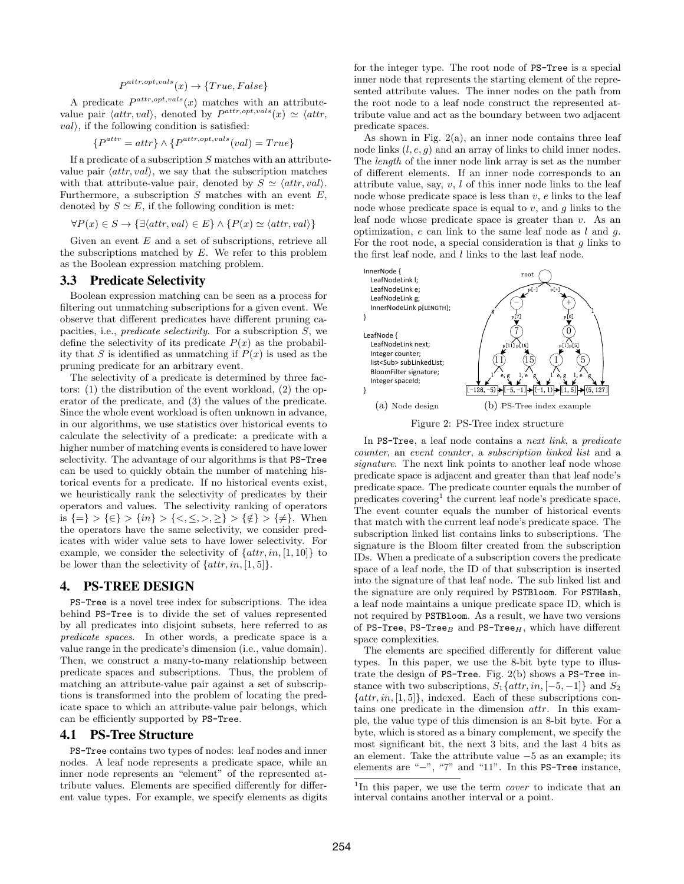### $P^{attr, opt, vals}(x) \rightarrow \{True, False\}$

A predicate  $P^{attr, opt, vals}(x)$  matches with an attributevalue pair  $\langle \text{attr}, \text{val} \rangle$ , denoted by  $P^{\text{attr}, \text{opt}, \text{vals}}(x) \simeq \langle \text{attr}, \text{val} \rangle$  $val$ , if the following condition is satisfied:

$$
\{P^{attr} = attr\} \wedge \{P^{attr, opt, vals}(val) = True\}
$$

If a predicate of a subscription  $S$  matches with an attributevalue pair  $\langle \text{attr}, \text{val} \rangle$ , we say that the subscription matches with that attribute-value pair, denoted by  $S \simeq \langle \text{attr}, \text{val} \rangle$ . Furthermore, a subscription  $S$  matches with an event  $E$ , denoted by  $S \simeq E$ , if the following condition is met:

$$
\forall P(x) \in S \rightarrow \{\exists \langle attr, val \rangle \in E\} \land \{P(x) \simeq \langle attr, val \rangle\}
$$

Given an event  $E$  and a set of subscriptions, retrieve all the subscriptions matched by  $E$ . We refer to this problem as the Boolean expression matching problem.

### 3.3 Predicate Selectivity

Boolean expression matching can be seen as a process for filtering out unmatching subscriptions for a given event. We observe that different predicates have different pruning capacities, i.e., *predicate selectivity*. For a subscription  $S$ , we define the selectivity of its predicate  $P(x)$  as the probability that S is identified as unmatching if  $P(x)$  is used as the pruning predicate for an arbitrary event.

The selectivity of a predicate is determined by three factors: (1) the distribution of the event workload, (2) the operator of the predicate, and (3) the values of the predicate. Since the whole event workload is often unknown in advance, in our algorithms, we use statistics over historical events to calculate the selectivity of a predicate: a predicate with a higher number of matching events is considered to have lower selectivity. The advantage of our algorithms is that PS-Tree can be used to quickly obtain the number of matching historical events for a predicate. If no historical events exist, we heuristically rank the selectivity of predicates by their operators and values. The selectivity ranking of operators is  $\{\equiv\} > \{\in\}$  >  $\{in\}$  >  $\{<,\leq,>,\geq\}$  >  $\{\notin\}$  >  $\{\neq\}$ . When the operators have the same selectivity, we consider predicates with wider value sets to have lower selectivity. For example, we consider the selectivity of  $\{attr, in, [1, 10]\}$  to be lower than the selectivity of  $\{attr, in, [1, 5]\}.$ 

### 4. PS-TREE DESIGN

PS-Tree is a novel tree index for subscriptions. The idea behind PS-Tree is to divide the set of values represented by all predicates into disjoint subsets, here referred to as predicate spaces. In other words, a predicate space is a value range in the predicate's dimension (i.e., value domain). Then, we construct a many-to-many relationship between predicate spaces and subscriptions. Thus, the problem of matching an attribute-value pair against a set of subscriptions is transformed into the problem of locating the predicate space to which an attribute-value pair belongs, which can be efficiently supported by PS-Tree.

## 4.1 PS-Tree Structure

PS-Tree contains two types of nodes: leaf nodes and inner nodes. A leaf node represents a predicate space, while an inner node represents an "element" of the represented attribute values. Elements are specified differently for different value types. For example, we specify elements as digits for the integer type. The root node of PS-Tree is a special inner node that represents the starting element of the represented attribute values. The inner nodes on the path from the root node to a leaf node construct the represented attribute value and act as the boundary between two adjacent predicate spaces.

As shown in Fig.  $2(a)$ , an inner node contains three leaf node links  $(l, e, g)$  and an array of links to child inner nodes. The length of the inner node link array is set as the number of different elements. If an inner node corresponds to an attribute value, say,  $v, l$  of this inner node links to the leaf node whose predicate space is less than  $v, e$  links to the leaf node whose predicate space is equal to  $v$ , and  $g$  links to the leaf node whose predicate space is greater than  $v$ . As an optimization,  $e$  can link to the same leaf node as  $l$  and  $q$ . For the root node, a special consideration is that  $g$  links to the first leaf node, and l links to the last leaf node.



In PS-Tree, a leaf node contains a next link, a predicate counter, an event counter, a subscription linked list and a signature. The next link points to another leaf node whose predicate space is adjacent and greater than that leaf node's predicate space. The predicate counter equals the number of predicates covering<sup>1</sup> the current leaf node's predicate space. The event counter equals the number of historical events that match with the current leaf node's predicate space. The subscription linked list contains links to subscriptions. The signature is the Bloom filter created from the subscription IDs. When a predicate of a subscription covers the predicate space of a leaf node, the ID of that subscription is inserted into the signature of that leaf node. The sub linked list and the signature are only required by PSTBloom. For PSTHash, a leaf node maintains a unique predicate space ID, which is not required by PSTBloom. As a result, we have two versions of PS-Tree, PS-Tree<sub>B</sub> and PS-Tree<sub>H</sub>, which have different space complexities.

The elements are specified differently for different value types. In this paper, we use the 8-bit byte type to illustrate the design of PS-Tree. Fig. 2(b) shows a PS-Tree instance with two subscriptions,  $S_1\{attr, in, [-5, -1]\}$  and  $S_2$  $\{attr, in, [1, 5]\},$  indexed. Each of these subscriptions contains one predicate in the dimension attr. In this example, the value type of this dimension is an 8-bit byte. For a byte, which is stored as a binary complement, we specify the most significant bit, the next 3 bits, and the last 4 bits as an element. Take the attribute value −5 as an example; its elements are "−", "7" and "11". In this PS-Tree instance,

<sup>&</sup>lt;sup>1</sup>In this paper, we use the term *cover* to indicate that an interval contains another interval or a point.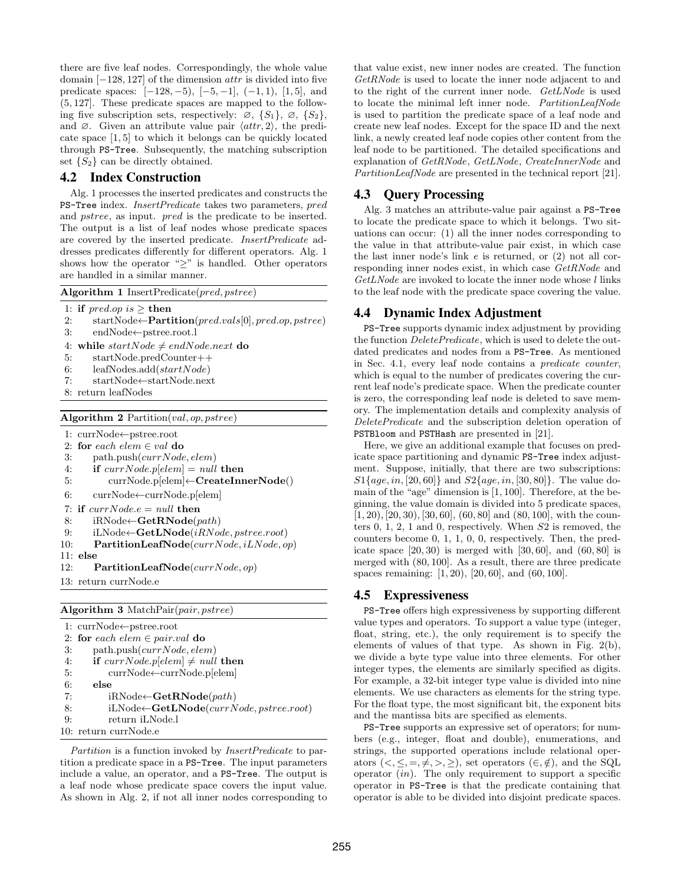there are five leaf nodes. Correspondingly, the whole value domain  $[-128, 127]$  of the dimension *attr* is divided into five predicate spaces:  $[-128, -5), [-5, -1], (-1, 1), [1, 5],$  and (5, 127]. These predicate spaces are mapped to the following five subscription sets, respectively:  $\varnothing$ ,  $\{S_1\}$ ,  $\varnothing$ ,  $\{S_2\}$ , and  $\varnothing$ . Given an attribute value pair  $\langle \text{attr}, 2 \rangle$ , the predicate space [1, 5] to which it belongs can be quickly located through PS-Tree. Subsequently, the matching subscription set  $\{S_2\}$  can be directly obtained.

# 4.2 Index Construction

Alg. 1 processes the inserted predicates and constructs the PS-Tree index. InsertPredicate takes two parameters, pred and pstree, as input. pred is the predicate to be inserted. The output is a list of leaf nodes whose predicate spaces are covered by the inserted predicate. InsertPredicate addresses predicates differently for different operators. Alg. 1 shows how the operator " $\geq$ " is handled. Other operators are handled in a similar manner.

|    | Algorithm 1 Insert Predicate $(pred, pstree)$                                                                   |
|----|-----------------------------------------------------------------------------------------------------------------|
|    | 1: if pred.op is $>$ then                                                                                       |
| 2: | $startNode \leftarrow$ <b>Partition</b> ( $pred.values[0], pred.op, pstre)$ )                                   |
|    | the contract of the contract of the contract of the contract of the contract of the contract of the contract of |

- 3: endNode←pstree.root.l
- 4: while startNode  $\neq endNode.next$  do
- 5: startNode.predCounter++
- 6: leafNodes.add $(startNode)$ 7: startNode←startNode.next
- 8: return leafNodes
- 

Algorithm 2 Partition(val, op, pstree)

- 1: currNode←pstree.root
- 2: for each elem  $\in$  val do
- 3:  $path.push(currNode, elem)$
- 4: if  $currNode.p[elem] = null$  then

```
5: currNode.p[elem]←CreateInnerNode()
```
6: currNode←currNode.p[elem]

```
7: if currNode.e = null then
```

```
8: iRNode←GetRNode(path)
```
9: iLNode $\leftarrow$ GetLNode(iRNode, pstree.root)

```
10: PartitionLeafNode(currNode, iLNode, op)
```
- 11: else
- 12: PartitionLeafNode( $currNode, op$ )
- 13: return currNode.e

Algorithm 3 MatchPair(pair, pstree)

|    | 1: $currNode \leftarrow pstree(root$                |
|----|-----------------------------------------------------|
|    | 2: for each elem $\in$ pair.val do                  |
| 3: | path.push(currNode, elem)                           |
| 4: | if currNode.p[elem] $\neq$ null then                |
| 5: | $currNode \leftarrow currNode.p[elem]$              |
| 6: | else                                                |
| 7: | $iRNode \leftarrow GetRNode(path)$                  |
| 8: | $iLNode \leftarrow GetLNode(currNode, pstree(root)$ |
| 9: | return iLNode.l                                     |
|    | 10: return currNode.e                               |

Partition is a function invoked by *InsertPredicate* to partition a predicate space in a PS-Tree. The input parameters include a value, an operator, and a PS-Tree. The output is a leaf node whose predicate space covers the input value. As shown in Alg. 2, if not all inner nodes corresponding to that value exist, new inner nodes are created. The function GetRNode is used to locate the inner node adjacent to and to the right of the current inner node. GetLNode is used to locate the minimal left inner node. PartitionLeafNode is used to partition the predicate space of a leaf node and create new leaf nodes. Except for the space ID and the next link, a newly created leaf node copies other content from the leaf node to be partitioned. The detailed specifications and explanation of GetRNode, GetLNode, CreateInnerNode and PartitionLeafNode are presented in the technical report [21].

### 4.3 Query Processing

Alg. 3 matches an attribute-value pair against a PS-Tree to locate the predicate space to which it belongs. Two situations can occur: (1) all the inner nodes corresponding to the value in that attribute-value pair exist, in which case the last inner node's link  $e$  is returned, or  $(2)$  not all corresponding inner nodes exist, in which case GetRNode and GetLNode are invoked to locate the inner node whose  $l$  links to the leaf node with the predicate space covering the value.

## 4.4 Dynamic Index Adjustment

PS-Tree supports dynamic index adjustment by providing the function *DeletePredicate*, which is used to delete the outdated predicates and nodes from a PS-Tree. As mentioned in Sec. 4.1, every leaf node contains a predicate counter, which is equal to the number of predicates covering the current leaf node's predicate space. When the predicate counter is zero, the corresponding leaf node is deleted to save memory. The implementation details and complexity analysis of DeletePredicate and the subscription deletion operation of PSTBloom and PSTHash are presented in [21].

Here, we give an additional example that focuses on predicate space partitioning and dynamic PS-Tree index adjustment. Suppose, initially, that there are two subscriptions:  $S1\{age, in, [20, 60]\}$  and  $S2\{age, in, [30, 80]\}$ . The value domain of the "age" dimension is [1, 100]. Therefore, at the beginning, the value domain is divided into 5 predicate spaces,  $[1, 20), [20, 30), [30, 60], (60, 80]$  and  $(80, 100],$  with the counters 0, 1, 2, 1 and 0, respectively. When S2 is removed, the counters become 0, 1, 1, 0, 0, respectively. Then, the predicate space  $[20, 30)$  is merged with  $[30, 60]$ , and  $(60, 80]$  is merged with (80, 100]. As a result, there are three predicate spaces remaining: [1, 20), [20, 60], and (60, 100].

## 4.5 Expressiveness

PS-Tree offers high expressiveness by supporting different value types and operators. To support a value type (integer, float, string, etc.), the only requirement is to specify the elements of values of that type. As shown in Fig. 2(b), we divide a byte type value into three elements. For other integer types, the elements are similarly specified as digits. For example, a 32-bit integer type value is divided into nine elements. We use characters as elements for the string type. For the float type, the most significant bit, the exponent bits and the mantissa bits are specified as elements.

PS-Tree supports an expressive set of operators; for numbers (e.g., integer, float and double), enumerations, and strings, the supported operations include relational operators  $(<, \leq, =, \neq, >, \geq)$ , set operators  $(\in, \notin)$ , and the SQL operator  $(in)$ . The only requirement to support a specific operator in PS-Tree is that the predicate containing that operator is able to be divided into disjoint predicate spaces.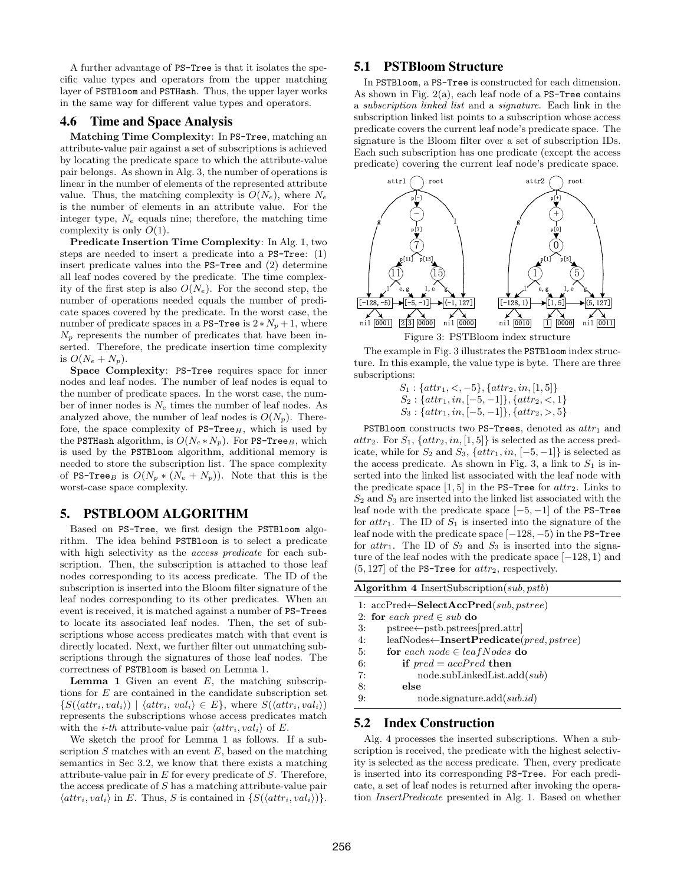A further advantage of PS-Tree is that it isolates the specific value types and operators from the upper matching layer of PSTBloom and PSTHash. Thus, the upper layer works in the same way for different value types and operators.

### 4.6 Time and Space Analysis

Matching Time Complexity: In PS-Tree, matching an attribute-value pair against a set of subscriptions is achieved by locating the predicate space to which the attribute-value pair belongs. As shown in Alg. 3, the number of operations is linear in the number of elements of the represented attribute value. Thus, the matching complexity is  $O(N_e)$ , where  $N_e$ is the number of elements in an attribute value. For the integer type,  $N_e$  equals nine; therefore, the matching time complexity is only  $O(1)$ .

Predicate Insertion Time Complexity: In Alg. 1, two steps are needed to insert a predicate into a PS-Tree: (1) insert predicate values into the PS-Tree and (2) determine all leaf nodes covered by the predicate. The time complexity of the first step is also  $O(N_e)$ . For the second step, the number of operations needed equals the number of predicate spaces covered by the predicate. In the worst case, the number of predicate spaces in a PS-Tree is  $2*N_p+1$ , where  $N_p$  represents the number of predicates that have been inserted. Therefore, the predicate insertion time complexity is  $O(N_e+N_p)$ .

Space Complexity: PS-Tree requires space for inner nodes and leaf nodes. The number of leaf nodes is equal to the number of predicate spaces. In the worst case, the number of inner nodes is  $N_e$  times the number of leaf nodes. As analyzed above, the number of leaf nodes is  $O(N_p)$ . Therefore, the space complexity of  $PS-Tree_H$ , which is used by the PSTHash algorithm, is  $O(N_e*N_p)$ . For PS-Tree<sub>B</sub>, which is used by the PSTBloom algorithm, additional memory is needed to store the subscription list. The space complexity of PS-Tree<sub>B</sub> is  $O(N_p * (N_e + N_p))$ . Note that this is the worst-case space complexity.

## 5. PSTBLOOM ALGORITHM

Based on PS-Tree, we first design the PSTBloom algorithm. The idea behind PSTBloom is to select a predicate with high selectivity as the *access predicate* for each subscription. Then, the subscription is attached to those leaf nodes corresponding to its access predicate. The ID of the subscription is inserted into the Bloom filter signature of the leaf nodes corresponding to its other predicates. When an event is received, it is matched against a number of PS-Trees to locate its associated leaf nodes. Then, the set of subscriptions whose access predicates match with that event is directly located. Next, we further filter out unmatching subscriptions through the signatures of those leaf nodes. The correctness of PSTBloom is based on Lemma 1.

**Lemma 1** Given an event  $E$ , the matching subscriptions for  $E$  are contained in the candidate subscription set  $\{S(\langle attr_i, val_i \rangle) \mid \langle attr_i, val_i \rangle \in E\}$ , where  $S(\langle attr_i, val_i \rangle)$ represents the subscriptions whose access predicates match with the *i-th* attribute-value pair  $\langle \hat{a} t t r_i, \hat{v} a l_i \rangle$  of E.

We sketch the proof for Lemma 1 as follows. If a subscription  $S$  matches with an event  $E$ , based on the matching semantics in Sec 3.2, we know that there exists a matching attribute-value pair in  $E$  for every predicate of  $S$ . Therefore, the access predicate of S has a matching attribute-value pair  $\langle \text{attr}_i, \text{val}_i \rangle$  in E. Thus, S is contained in  $\{S(\langle \text{attr}_i, \text{val}_i \rangle)\}.$ 

# 5.1 PSTBloom Structure

In PSTBloom, a PS-Tree is constructed for each dimension. As shown in Fig.  $2(a)$ , each leaf node of a PS-Tree contains a subscription linked list and a signature. Each link in the subscription linked list points to a subscription whose access predicate covers the current leaf node's predicate space. The signature is the Bloom filter over a set of subscription IDs. Each such subscription has one predicate (except the access predicate) covering the current leaf node's predicate space.



The example in Fig. 3 illustrates the PSTBloom index structure. In this example, the value type is byte. There are three subscriptions:

 $S_1$ : { $attr_1, <, -5$ }, { $attr_2, in, [1, 5]$ }  $S_2$ : { $attr_1, in, [-5, -1]$ }, { $attr_2, < 1$ }  $S_3$ : { $attr_1, in, [-5, -1]$ }, { $attr_2, >, 5$ }

PSTBloom constructs two PS-Trees, denoted as  $attr_1$  and  $attr_2$ . For  $S_1$ ,  $\{attr_2, in, [1, 5]\}$  is selected as the access predicate, while for  $S_2$  and  $S_3$ ,  $\{attr_1, in, [-5, -1] \}$  is selected as the access predicate. As shown in Fig. 3, a link to  $S_1$  is inserted into the linked list associated with the leaf node with the predicate space [1, 5] in the PS-Tree for  $attr_2$ . Links to  $S_2$  and  $S_3$  are inserted into the linked list associated with the leaf node with the predicate space  $[-5, -1]$  of the PS-Tree for  $attr_1$ . The ID of  $S_1$  is inserted into the signature of the leaf node with the predicate space [−128, −5) in the PS-Tree for  $attr_1$ . The ID of  $S_2$  and  $S_3$  is inserted into the signature of the leaf nodes with the predicate space  $[-128, 1)$  and  $(5, 127]$  of the PS-Tree for  $attr_2$ , respectively.

|  | Algorithm 4 InsertSubscription( $sub, pstb$ ) |  |  |
|--|-----------------------------------------------|--|--|
|  |                                               |  |  |

|            | 1: $accPred \leftarrow SelectAccPred(sub, pstree)$  |
|------------|-----------------------------------------------------|
|            | 2: for each pred $\in$ sub do                       |
| 3:         | $pstree \leftarrow pstb.pstrees[pred.attr]$         |
| 4:         | $leafNodes \leftarrow InsertPredicter(pred, pstre)$ |
| 5:         | for each node $\in$ leaf Nodes do                   |
| 6:         | if $pred = accPred$ then                            |
| 7:         | node.subLinkedList.add(sub)                         |
| 8:         | else                                                |
| $\Omega$ : | $node.\text{signature.add}(sub.id)$                 |

# 5.2 Index Construction

Alg. 4 processes the inserted subscriptions. When a subscription is received, the predicate with the highest selectivity is selected as the access predicate. Then, every predicate is inserted into its corresponding PS-Tree. For each predicate, a set of leaf nodes is returned after invoking the operation InsertPredicate presented in Alg. 1. Based on whether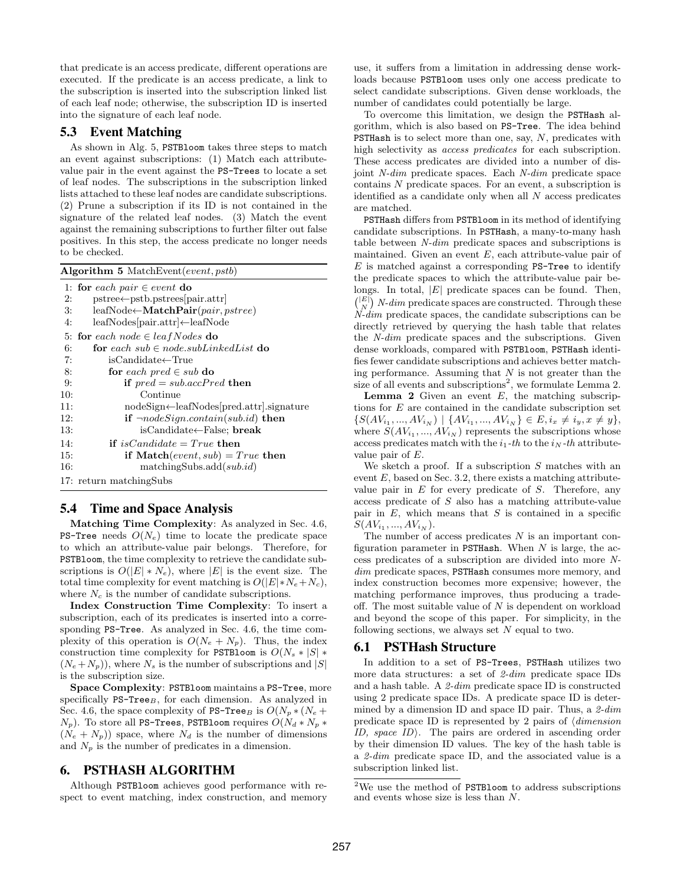that predicate is an access predicate, different operations are executed. If the predicate is an access predicate, a link to the subscription is inserted into the subscription linked list of each leaf node; otherwise, the subscription ID is inserted into the signature of each leaf node.

# 5.3 Event Matching

As shown in Alg. 5, PSTBloom takes three steps to match an event against subscriptions: (1) Match each attributevalue pair in the event against the PS-Trees to locate a set of leaf nodes. The subscriptions in the subscription linked lists attached to these leaf nodes are candidate subscriptions. (2) Prune a subscription if its ID is not contained in the signature of the related leaf nodes. (3) Match the event against the remaining subscriptions to further filter out false positives. In this step, the access predicate no longer needs to be checked.

|     | <b>Algorithm 5</b> MatchEvent( <i>event, pstb</i> )           |  |  |  |  |
|-----|---------------------------------------------------------------|--|--|--|--|
|     | 1: for each pair $\in$ event do                               |  |  |  |  |
| 2:  | $pstree \leftarrow pstb.pstrees[pair.attr]$                   |  |  |  |  |
| 3:  | $\text{leafNode} \leftarrow \textbf{MatchPair}(pair, pstree)$ |  |  |  |  |
| 4:  | $leafNodes[pair.attr] \leftarrow leafNode$                    |  |  |  |  |
|     | 5: for each node $\in$ leaf Nodes do                          |  |  |  |  |
| 6:  | for each $sub \in node.subLinkedList$ do                      |  |  |  |  |
| 7:  | isCandidate←True                                              |  |  |  |  |
| 8:  | for each pred $\in$ sub do                                    |  |  |  |  |
| 9:  | if $pred = sub.accPred$ then                                  |  |  |  |  |
| 10: | Continue                                                      |  |  |  |  |
| 11: | $nodeSign \leftarrow leafNodes[pred.attr].signature$          |  |  |  |  |
| 12: | if $\neg nodeSign.contain(sub.id)$ then                       |  |  |  |  |
| 13: | isCandidate←False; break                                      |  |  |  |  |
| 14: | if is Candidate = True then                                   |  |  |  |  |
| 15: | if Match $(event, sub) = True$ then                           |  |  |  |  |
| 16: | matchingSubs.add(sub.id)                                      |  |  |  |  |
|     | 17: return matching Subs                                      |  |  |  |  |

# 5.4 Time and Space Analysis

Matching Time Complexity: As analyzed in Sec. 4.6, **PS-Tree** needs  $O(N_e)$  time to locate the predicate space to which an attribute-value pair belongs. Therefore, for PSTBloom, the time complexity to retrieve the candidate subscriptions is  $O(|E| * N_e)$ , where  $|E|$  is the event size. The total time complexity for event matching is  $O(|E| * N_e + N_c)$ , where  $N_c$  is the number of candidate subscriptions.

Index Construction Time Complexity: To insert a subscription, each of its predicates is inserted into a corresponding PS-Tree. As analyzed in Sec. 4.6, the time complexity of this operation is  $O(N_e + N_p)$ . Thus, the index construction time complexity for PSTBloom is  $O(N_s * |S| *$  $(N_e+N_p)$ , where  $N_s$  is the number of subscriptions and  $|S|$ is the subscription size.

Space Complexity: PSTBloom maintains a PS-Tree, more specifically  $PS\text{-}\mathbf{Tree}_B$ , for each dimension. As analyzed in Sec. 4.6, the space complexity of PS-Tree<sub>B</sub> is  $O(N_p * (N_e +$  $(N_p)$ . To store all PS-Trees, PSTBloom requires  $O(N_d*N_p*N_p)$  $(N_e + N_p)$  space, where  $N_d$  is the number of dimensions and  $N_p$  is the number of predicates in a dimension.

# 6. PSTHASH ALGORITHM

Although PSTBloom achieves good performance with respect to event matching, index construction, and memory use, it suffers from a limitation in addressing dense workloads because PSTBloom uses only one access predicate to select candidate subscriptions. Given dense workloads, the number of candidates could potentially be large.

To overcome this limitation, we design the PSTHash algorithm, which is also based on PS-Tree. The idea behind **PSTHash** is to select more than one, say,  $N$ , predicates with high selectivity as *access predicates* for each subscription. These access predicates are divided into a number of disjoint N-dim predicate spaces. Each N-dim predicate space contains N predicate spaces. For an event, a subscription is identified as a candidate only when all  $N$  access predicates are matched.

PSTHash differs from PSTBloom in its method of identifying candidate subscriptions. In PSTHash, a many-to-many hash table between N-dim predicate spaces and subscriptions is maintained. Given an event  $E$ , each attribute-value pair of  $E$  is matched against a corresponding PS-Tree to identify the predicate spaces to which the attribute-value pair belongs. In total,  $|E|$  predicate spaces can be found. Then,  $\binom{|E|}{N}$  N-dim predicate spaces are constructed. Through these N-dim predicate spaces, the candidate subscriptions can be directly retrieved by querying the hash table that relates the N-dim predicate spaces and the subscriptions. Given dense workloads, compared with PSTBloom, PSTHash identifies fewer candidate subscriptions and achieves better matching performance. Assuming that  $N$  is not greater than the size of all events and subscriptions<sup>2</sup>, we formulate Lemma 2.

**Lemma 2** Given an event  $E$ , the matching subscriptions for E are contained in the candidate subscription set  $\{S(AV_{i_1},...,AV_{i_N}) \mid \{AV_{i_1},...,AV_{i_N}\} \in E, i_x \neq i_y, x \neq y\},\$ where  $S(AV_{i_1},...,AV_{i_N})$  represents the subscriptions whose access predicates match with the  $i_1$ -th to the  $i_N$ -th attributevalue pair of E.

We sketch a proof. If a subscription  $S$  matches with an event  $E$ , based on Sec. 3.2, there exists a matching attributevalue pair in  $E$  for every predicate of  $S$ . Therefore, any access predicate of S also has a matching attribute-value pair in  $E$ , which means that  $S$  is contained in a specific  $S(AV_{i_1},...,AV_{i_N}).$ 

The number of access predicates  $N$  is an important configuration parameter in PSTHash. When  $N$  is large, the access predicates of a subscription are divided into more Ndim predicate spaces, PSTHash consumes more memory, and index construction becomes more expensive; however, the matching performance improves, thus producing a tradeoff. The most suitable value of  $N$  is dependent on workload and beyond the scope of this paper. For simplicity, in the following sections, we always set  $N$  equal to two.

### 6.1 PSTHash Structure

In addition to a set of PS-Trees, PSTHash utilizes two more data structures: a set of 2-dim predicate space IDs and a hash table. A 2-dim predicate space ID is constructed using 2 predicate space IDs. A predicate space ID is determined by a dimension ID and space ID pair. Thus, a  $2-dim$ predicate space ID is represented by 2 pairs of  $\langle$  dimension ID, space  $ID$ . The pairs are ordered in ascending order by their dimension ID values. The key of the hash table is a 2-dim predicate space ID, and the associated value is a subscription linked list.

<sup>2</sup>We use the method of PSTBloom to address subscriptions and events whose size is less than N.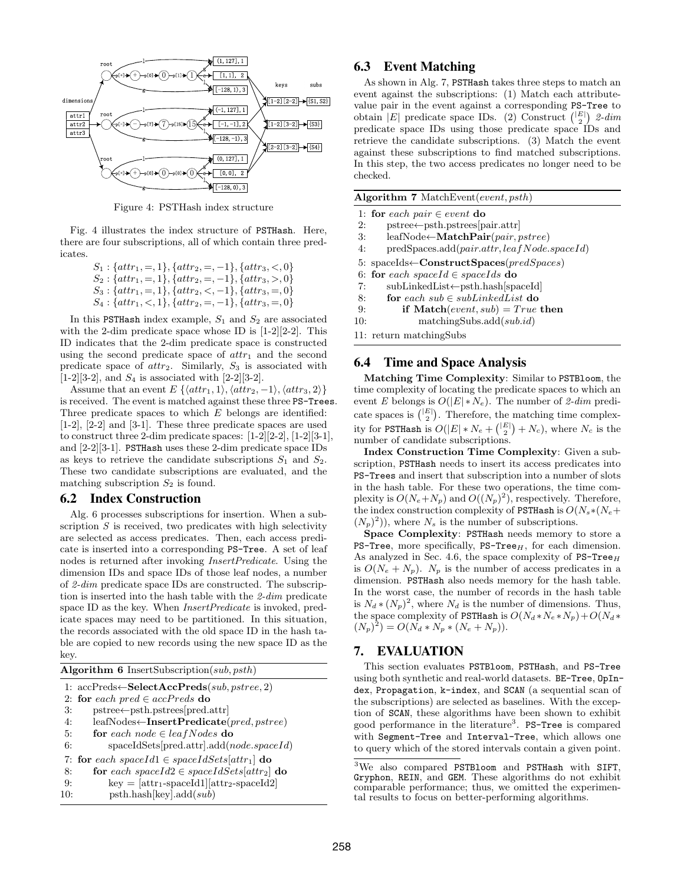

Figure 4: PSTHash index structure

Fig. 4 illustrates the index structure of PSTHash. Here, there are four subscriptions, all of which contain three predicates.

> $S_1$ : { $attr_1$ , =, 1}, { $attr_2$ , =, -1}, { $attr_3$ , <, 0}  $S_2$ : { $attr_1, =, 1$ }, { $attr_2, =, -1$ }, { $attr_3, >, 0$ }  $S_3$ : { $attr_1, =, 1$ }, { $attr_2, <, -1$ }, { $attr_3, =, 0$ }  $S_4$ : { $attr_1, < 1$ }, { $attr_2, =, -1$ }, { $attr_3, =, 0$ }

In this PSTHash index example,  $S_1$  and  $S_2$  are associated with the 2-dim predicate space whose ID is [1-2][2-2]. This ID indicates that the 2-dim predicate space is constructed using the second predicate space of  $attr_1$  and the second predicate space of  $attr_2$ . Similarly,  $S_3$  is associated with  $[1-2][3-2]$ , and  $S_4$  is associated with  $[2-2][3-2]$ .

Assume that an event  $E \{ \langle attr_1, 1 \rangle, \langle attr_2, -1 \rangle, \langle attr_3, 2 \rangle \}$ is received. The event is matched against these three PS-Trees. Three predicate spaces to which  $E$  belongs are identified: [1-2], [2-2] and [3-1]. These three predicate spaces are used to construct three 2-dim predicate spaces: [1-2][2-2], [1-2][3-1], and [2-2][3-1]. PSTHash uses these 2-dim predicate space IDs as keys to retrieve the candidate subscriptions  $S_1$  and  $S_2$ . These two candidate subscriptions are evaluated, and the matching subscription  $S_2$  is found.

### 6.2 Index Construction

Alg. 6 processes subscriptions for insertion. When a subscription  $S$  is received, two predicates with high selectivity are selected as access predicates. Then, each access predicate is inserted into a corresponding PS-Tree. A set of leaf nodes is returned after invoking InsertPredicate. Using the dimension IDs and space IDs of those leaf nodes, a number of 2-dim predicate space IDs are constructed. The subscription is inserted into the hash table with the 2-dim predicate space ID as the key. When InsertPredicate is invoked, predicate spaces may need to be partitioned. In this situation, the records associated with the old space ID in the hash table are copied to new records using the new space ID as the key.

| <b>Algorithm 6</b> InsertSubscription( <i>sub</i> , <i>psth</i> ) |                                                                  |  |  |  |
|-------------------------------------------------------------------|------------------------------------------------------------------|--|--|--|
|                                                                   | 1: $accPreds \leftarrow \textbf{SelectAccPreds}(sub, pstree, 2)$ |  |  |  |
|                                                                   | 2: for each pred $\in$ accPreds do                               |  |  |  |
| 3:                                                                | $pstree \leftarrow psth.pstrees[pred.attr]$                      |  |  |  |
| 4:                                                                | $leafNodes \leftarrow InsertPredicter(pred, pstre)$              |  |  |  |
| 5:                                                                | for each node $\in$ leaf Nodes do                                |  |  |  |
| 6:                                                                | $spaceldSets[pred.attr].add(node.spaceId)$                       |  |  |  |
|                                                                   | 7: for each space $Id1 \in spaceIdSets[attr_1]$ do               |  |  |  |
| 8:                                                                | for each spaceId2 $\in$ spaceIdSets[attr <sub>2</sub> ] do       |  |  |  |
| 9:                                                                | $key = [attr_1-spaceId1][attr_2-spaceId2]$                       |  |  |  |
| 10:                                                               | psth.hash[key].add(sub)                                          |  |  |  |

## 6.3 Event Matching

As shown in Alg. 7, PSTHash takes three steps to match an event against the subscriptions: (1) Match each attributevalue pair in the event against a corresponding PS-Tree to obtain |E| predicate space IDs. (2) Construct  $\binom{|E|}{2}$  2-dim predicate space IDs using those predicate space IDs and retrieve the candidate subscriptions. (3) Match the event against these subscriptions to find matched subscriptions. In this step, the two access predicates no longer need to be checked.

|  |  | Algorithm 7 MatchEvent(event, psth) |  |  |
|--|--|-------------------------------------|--|--|
|--|--|-------------------------------------|--|--|

1: for each pair ∈ event do

- 2: pstree←psth.pstrees[pair.attr]
- 3: leafNode←MatchPair(pair, pstree)
- 4: predSpaces.add(pair.attr, leaf Node.spaceId)
- 5: spaceIds←ConstructSpaces(predSpaces)
- 6: for each spaceId  $\in$  spaceIds do
- 7: subLinkedList←psth.hash[spaceId]
- 8: for each  $sub \in subLinkedList$  do
- 9: if  $\text{Match}(event, sub) = True \text{ then}$
- 10: matchingSubs.add(sub.id)

### 6.4 Time and Space Analysis

Matching Time Complexity: Similar to PSTBloom, the time complexity of locating the predicate spaces to which an event E belongs is  $O(|E| * N_e)$ . The number of 2-dim predicate spaces is  $\binom{|E|}{2}$ . Therefore, the matching time complexity for PSTHash is  $O(|E| * N_e + {\binom{|E|}{2}} + N_c)$ , where  $N_c$  is the number of candidate subscriptions.

Index Construction Time Complexity: Given a subscription, PSTHash needs to insert its access predicates into PS-Trees and insert that subscription into a number of slots in the hash table. For these two operations, the time complexity is  $O(N_e + N_p)$  and  $O((N_p)^2)$ , respectively. Therefore, the index construction complexity of PSTHash is  $O(N_s * (N_e +$  $(N_p)^2$ ), where  $N_s$  is the number of subscriptions.

Space Complexity: PSTHash needs memory to store a PS-Tree, more specifically, PS-Tree $_H$ , for each dimension. As analyzed in Sec. 4.6, the space complexity of  $PS-Tree_H$ is  $O(N_e + N_p)$ .  $N_p$  is the number of access predicates in a dimension. PSTHash also needs memory for the hash table. In the worst case, the number of records in the hash table is  $N_d * (N_p)^2$ , where  $N_d$  is the number of dimensions. Thus, the space complexity of PSTHash is  $O(N_d*N_e*N_p)+O(N_d*N_e)$  $(N_p)^2$  =  $O(N_d * N_p * (N_e + N_p)).$ 

# 7. EVALUATION

This section evaluates PSTBloom, PSTHash, and PS-Tree using both synthetic and real-world datasets. BE-Tree, OpIndex, Propagation, k-index, and SCAN (a sequential scan of the subscriptions) are selected as baselines. With the exception of SCAN, these algorithms have been shown to exhibit good performance in the literature<sup>3</sup>. PS-Tree is compared with Segment-Tree and Interval-Tree, which allows one to query which of the stored intervals contain a given point.

<sup>11:</sup> return matchingSubs

<sup>3</sup>We also compared PSTBloom and PSTHash with SIFT, Gryphon, REIN, and GEM. These algorithms do not exhibit comparable performance; thus, we omitted the experimental results to focus on better-performing algorithms.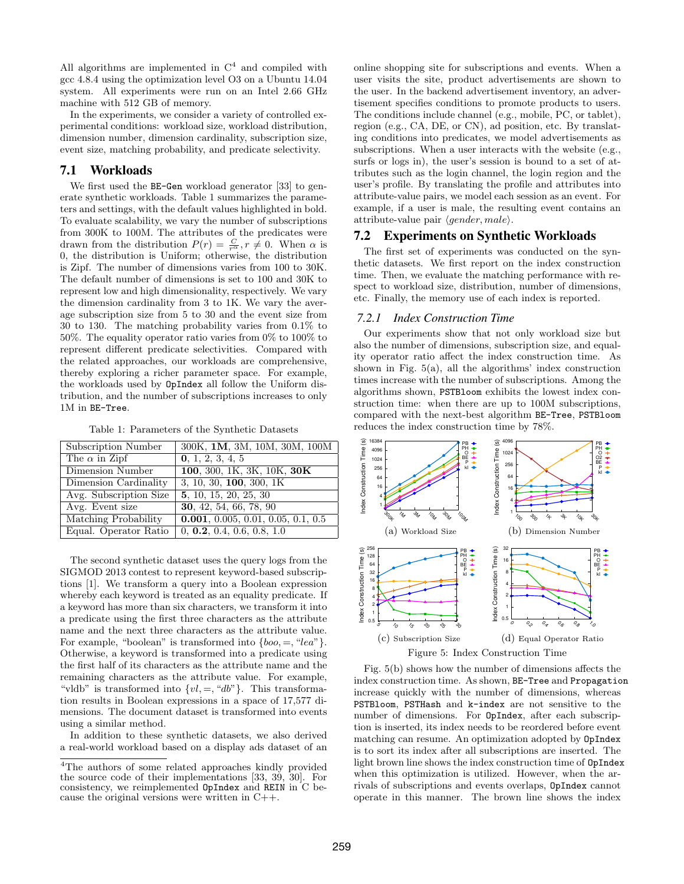All algorithms are implemented in  $C<sup>4</sup>$  and compiled with gcc 4.8.4 using the optimization level O3 on a Ubuntu 14.04 system. All experiments were run on an Intel 2.66 GHz machine with 512 GB of memory.

In the experiments, we consider a variety of controlled experimental conditions: workload size, workload distribution, dimension number, dimension cardinality, subscription size, event size, matching probability, and predicate selectivity.

# 7.1 Workloads

We first used the **BE-Gen** workload generator [33] to generate synthetic workloads. Table 1 summarizes the parameters and settings, with the default values highlighted in bold. To evaluate scalability, we vary the number of subscriptions from 300K to 100M. The attributes of the predicates were drawn from the distribution  $P(r) = \frac{C}{r^{\alpha}}$ ,  $r \neq 0$ . When  $\alpha$  is 0, the distribution is Uniform; otherwise, the distribution is Zipf. The number of dimensions varies from 100 to 30K. The default number of dimensions is set to 100 and 30K to represent low and high dimensionality, respectively. We vary the dimension cardinality from 3 to 1K. We vary the average subscription size from 5 to 30 and the event size from 30 to 130. The matching probability varies from 0.1% to 50%. The equality operator ratio varies from 0% to 100% to represent different predicate selectivities. Compared with the related approaches, our workloads are comprehensive, thereby exploring a richer parameter space. For example, the workloads used by OpIndex all follow the Uniform distribution, and the number of subscriptions increases to only 1M in BE-Tree.

Table 1: Parameters of the Synthetic Datasets

| Subscription Number    | 300K, 1M, 3M, 10M, 30M, 100M       |
|------------------------|------------------------------------|
| The $\alpha$ in Zipf   | 0, 1, 2, 3, 4, 5                   |
| Dimension Number       | 100, 300, 1K, 3K, 10K, 30K         |
| Dimension Cardinality  | 3, 10, 30, 100, 300, 1K            |
| Avg. Subscription Size | 5, 10, 15, 20, 25, 30              |
| Avg. Event size        | 30, 42, 54, 66, 78, 90             |
| Matching Probability   | 0.001, 0.005, 0.01, 0.05, 0.1, 0.5 |
| Equal. Operator Ratio  | 0, 0.2, 0.4, 0.6, 0.8, 1.0         |

The second synthetic dataset uses the query logs from the SIGMOD 2013 contest to represent keyword-based subscriptions [1]. We transform a query into a Boolean expression whereby each keyword is treated as an equality predicate. If a keyword has more than six characters, we transform it into a predicate using the first three characters as the attribute name and the next three characters as the attribute value. For example, "boolean" is transformed into  $\{boo, =, "lea"\}$ . Otherwise, a keyword is transformed into a predicate using the first half of its characters as the attribute name and the remaining characters as the attribute value. For example, "vldb" is transformed into  $\{vl, =, "db"\}$ . This transformation results in Boolean expressions in a space of 17,577 dimensions. The document dataset is transformed into events using a similar method.

In addition to these synthetic datasets, we also derived a real-world workload based on a display ads dataset of an online shopping site for subscriptions and events. When a user visits the site, product advertisements are shown to the user. In the backend advertisement inventory, an advertisement specifies conditions to promote products to users. The conditions include channel (e.g., mobile, PC, or tablet), region (e.g., CA, DE, or CN), ad position, etc. By translating conditions into predicates, we model advertisements as subscriptions. When a user interacts with the website (e.g., surfs or logs in), the user's session is bound to a set of attributes such as the login channel, the login region and the user's profile. By translating the profile and attributes into attribute-value pairs, we model each session as an event. For example, if a user is male, the resulting event contains an attribute-value pair  $\langle gender, male \rangle$ .

### 7.2 Experiments on Synthetic Workloads

The first set of experiments was conducted on the synthetic datasets. We first report on the index construction time. Then, we evaluate the matching performance with respect to workload size, distribution, number of dimensions, etc. Finally, the memory use of each index is reported.

### *7.2.1 Index Construction Time*

Our experiments show that not only workload size but also the number of dimensions, subscription size, and equality operator ratio affect the index construction time. As shown in Fig. 5(a), all the algorithms' index construction times increase with the number of subscriptions. Among the algorithms shown, PSTBloom exhibits the lowest index construction time: when there are up to 100M subscriptions, compared with the next-best algorithm BE-Tree, PSTBloom reduces the index construction time by 78%.



Fig. 5(b) shows how the number of dimensions affects the index construction time. As shown, BE-Tree and Propagation increase quickly with the number of dimensions, whereas PSTBloom, PSTHash and k-index are not sensitive to the number of dimensions. For OpIndex, after each subscription is inserted, its index needs to be reordered before event matching can resume. An optimization adopted by OpIndex is to sort its index after all subscriptions are inserted. The light brown line shows the index construction time of OpIndex when this optimization is utilized. However, when the arrivals of subscriptions and events overlaps, OpIndex cannot operate in this manner. The brown line shows the index

<sup>4</sup>The authors of some related approaches kindly provided the source code of their implementations [33, 39, 30]. For consistency, we reimplemented OpIndex and REIN in C because the original versions were written in C++.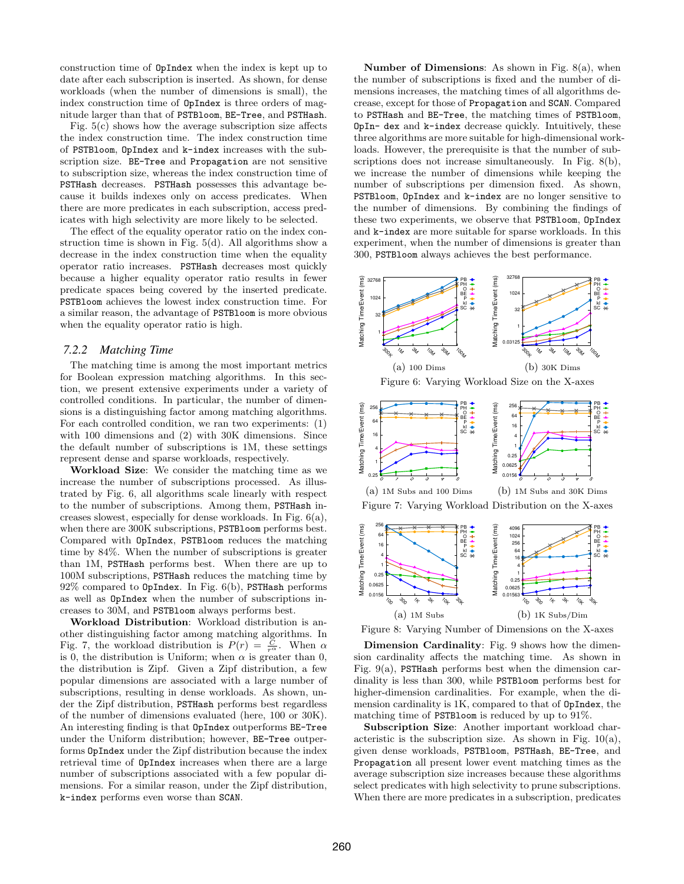construction time of OpIndex when the index is kept up to date after each subscription is inserted. As shown, for dense workloads (when the number of dimensions is small), the index construction time of OpIndex is three orders of magnitude larger than that of PSTBloom, BE-Tree, and PSTHash.

Fig. 5(c) shows how the average subscription size affects the index construction time. The index construction time of PSTBloom, OpIndex and k-index increases with the subscription size. BE-Tree and Propagation are not sensitive to subscription size, whereas the index construction time of PSTHash decreases. PSTHash possesses this advantage because it builds indexes only on access predicates. When there are more predicates in each subscription, access predicates with high selectivity are more likely to be selected.

The effect of the equality operator ratio on the index construction time is shown in Fig. 5(d). All algorithms show a decrease in the index construction time when the equality operator ratio increases. PSTHash decreases most quickly because a higher equality operator ratio results in fewer predicate spaces being covered by the inserted predicate. PSTBloom achieves the lowest index construction time. For a similar reason, the advantage of PSTBloom is more obvious when the equality operator ratio is high.

### *7.2.2 Matching Time*

The matching time is among the most important metrics for Boolean expression matching algorithms. In this section, we present extensive experiments under a variety of controlled conditions. In particular, the number of dimensions is a distinguishing factor among matching algorithms. For each controlled condition, we ran two experiments: (1) with 100 dimensions and (2) with 30K dimensions. Since the default number of subscriptions is 1M, these settings represent dense and sparse workloads, respectively.

Workload Size: We consider the matching time as we increase the number of subscriptions processed. As illustrated by Fig. 6, all algorithms scale linearly with respect to the number of subscriptions. Among them, PSTHash increases slowest, especially for dense workloads. In Fig. 6(a), when there are 300K subscriptions, PSTBloom performs best. Compared with OpIndex, PSTBloom reduces the matching time by 84%. When the number of subscriptions is greater than 1M, PSTHash performs best. When there are up to 100M subscriptions, PSTHash reduces the matching time by 92% compared to OpIndex. In Fig. 6(b), PSTHash performs as well as OpIndex when the number of subscriptions increases to 30M, and PSTBloom always performs best.

Workload Distribution: Workload distribution is another distinguishing factor among matching algorithms. In Fig. 7, the workload distribution is  $P(r) = \frac{C}{r^{\alpha}}$ . When  $\alpha$ is 0, the distribution is Uniform; when  $\alpha$  is greater than 0, the distribution is Zipf. Given a Zipf distribution, a few popular dimensions are associated with a large number of subscriptions, resulting in dense workloads. As shown, under the Zipf distribution, PSTHash performs best regardless of the number of dimensions evaluated (here, 100 or 30K). An interesting finding is that OpIndex outperforms BE-Tree under the Uniform distribution; however, BE-Tree outperforms OpIndex under the Zipf distribution because the index retrieval time of OpIndex increases when there are a large number of subscriptions associated with a few popular dimensions. For a similar reason, under the Zipf distribution, k-index performs even worse than SCAN.

Number of Dimensions: As shown in Fig. 8(a), when the number of subscriptions is fixed and the number of dimensions increases, the matching times of all algorithms decrease, except for those of Propagation and SCAN. Compared to PSTHash and BE-Tree, the matching times of PSTBloom, OpIn- dex and k-index decrease quickly. Intuitively, these three algorithms are more suitable for high-dimensional workloads. However, the prerequisite is that the number of subscriptions does not increase simultaneously. In Fig. 8(b), we increase the number of dimensions while keeping the number of subscriptions per dimension fixed. As shown, PSTBloom, OpIndex and k-index are no longer sensitive to the number of dimensions. By combining the findings of these two experiments, we observe that PSTBloom, OpIndex and k-index are more suitable for sparse workloads. In this experiment, when the number of dimensions is greater than 300, PSTBloom always achieves the best performance.





Figure 7: Varying Workload Distribution on the X-axes



Figure 8: Varying Number of Dimensions on the X-axes

Dimension Cardinality: Fig. 9 shows how the dimension cardinality affects the matching time. As shown in Fig.  $9(a)$ , PSTHash performs best when the dimension cardinality is less than 300, while PSTBloom performs best for higher-dimension cardinalities. For example, when the dimension cardinality is 1K, compared to that of OpIndex, the matching time of PSTBloom is reduced by up to 91%.

Subscription Size: Another important workload characteristic is the subscription size. As shown in Fig.  $10(a)$ , given dense workloads, PSTBloom, PSTHash, BE-Tree, and Propagation all present lower event matching times as the average subscription size increases because these algorithms select predicates with high selectivity to prune subscriptions. When there are more predicates in a subscription, predicates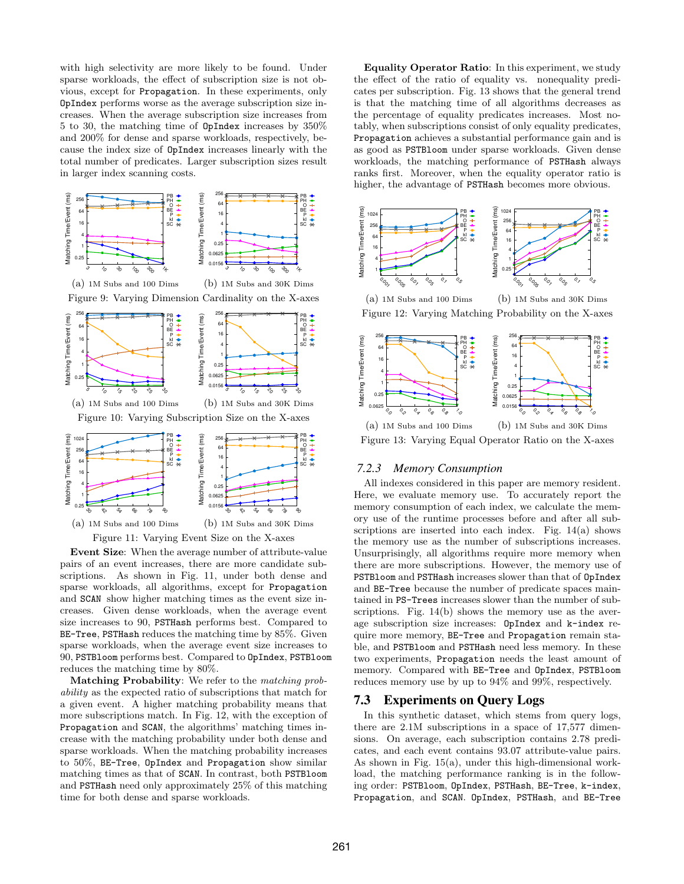with high selectivity are more likely to be found. Under sparse workloads, the effect of subscription size is not obvious, except for Propagation. In these experiments, only OpIndex performs worse as the average subscription size increases. When the average subscription size increases from 5 to 30, the matching time of OpIndex increases by 350% and 200% for dense and sparse workloads, respectively, because the index size of OpIndex increases linearly with the total number of predicates. Larger subscription sizes result in larger index scanning costs.



Event Size: When the average number of attribute-value pairs of an event increases, there are more candidate subscriptions. As shown in Fig. 11, under both dense and sparse workloads, all algorithms, except for Propagation and SCAN show higher matching times as the event size increases. Given dense workloads, when the average event size increases to 90, PSTHash performs best. Compared to BE-Tree, PSTHash reduces the matching time by 85%. Given sparse workloads, when the average event size increases to 90, PSTBloom performs best. Compared to OpIndex, PSTBloom reduces the matching time by 80%.

Matching Probability: We refer to the matching probability as the expected ratio of subscriptions that match for a given event. A higher matching probability means that more subscriptions match. In Fig. 12, with the exception of Propagation and SCAN, the algorithms' matching times increase with the matching probability under both dense and sparse workloads. When the matching probability increases to 50%, BE-Tree, OpIndex and Propagation show similar matching times as that of SCAN. In contrast, both PSTBloom and PSTHash need only approximately 25% of this matching time for both dense and sparse workloads.

Equality Operator Ratio: In this experiment, we study the effect of the ratio of equality vs. nonequality predicates per subscription. Fig. 13 shows that the general trend is that the matching time of all algorithms decreases as the percentage of equality predicates increases. Most notably, when subscriptions consist of only equality predicates, Propagation achieves a substantial performance gain and is as good as PSTBloom under sparse workloads. Given dense workloads, the matching performance of PSTHash always ranks first. Moreover, when the equality operator ratio is higher, the advantage of PSTHash becomes more obvious.



(a) 1M Subs and 100 Dims (b) 1M Subs and 30K Dims Figure 12: Varying Matching Probability on the X-axes



Figure 13: Varying Equal Operator Ratio on the X-axes

### *7.2.3 Memory Consumption*

All indexes considered in this paper are memory resident. Here, we evaluate memory use. To accurately report the memory consumption of each index, we calculate the memory use of the runtime processes before and after all subscriptions are inserted into each index. Fig. 14(a) shows the memory use as the number of subscriptions increases. Unsurprisingly, all algorithms require more memory when there are more subscriptions. However, the memory use of PSTBloom and PSTHash increases slower than that of OpIndex and BE-Tree because the number of predicate spaces maintained in PS-Trees increases slower than the number of subscriptions. Fig. 14(b) shows the memory use as the average subscription size increases: OpIndex and k-index require more memory, BE-Tree and Propagation remain stable, and PSTBloom and PSTHash need less memory. In these two experiments, Propagation needs the least amount of memory. Compared with BE-Tree and OpIndex, PSTBloom reduces memory use by up to 94% and 99%, respectively.

### 7.3 Experiments on Query Logs

In this synthetic dataset, which stems from query logs, there are 2.1M subscriptions in a space of 17,577 dimensions. On average, each subscription contains 2.78 predicates, and each event contains 93.07 attribute-value pairs. As shown in Fig. 15(a), under this high-dimensional workload, the matching performance ranking is in the following order: PSTBloom, OpIndex, PSTHash, BE-Tree, k-index, Propagation, and SCAN. OpIndex, PSTHash, and BE-Tree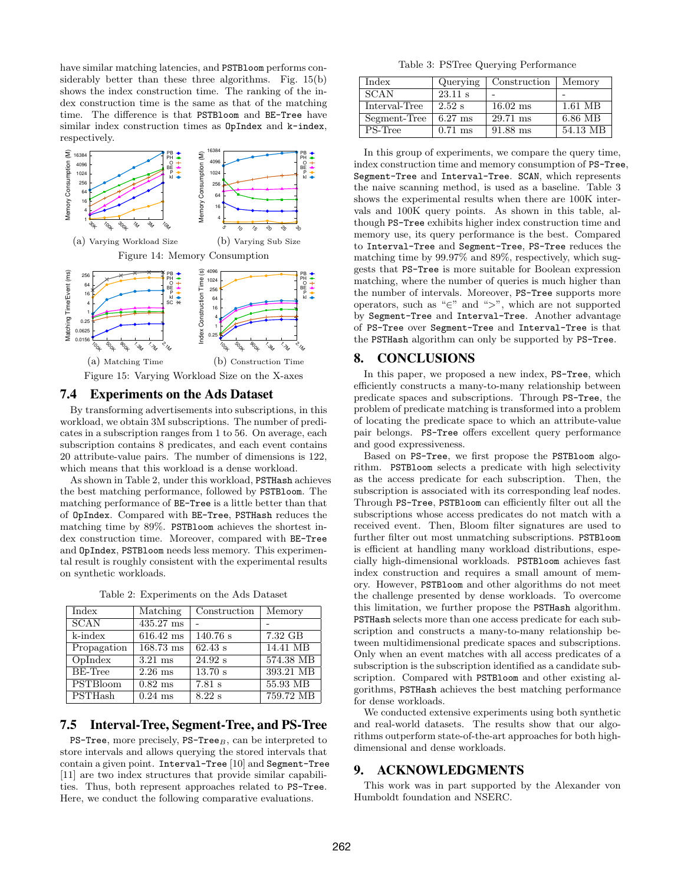have similar matching latencies, and PSTBloom performs considerably better than these three algorithms. Fig. 15(b) shows the index construction time. The ranking of the index construction time is the same as that of the matching time. The difference is that PSTBloom and BE-Tree have similar index construction times as OpIndex and k-index, respectively.



### 7.4 Experiments on the Ads Dataset

By transforming advertisements into subscriptions, in this workload, we obtain 3M subscriptions. The number of predicates in a subscription ranges from 1 to 56. On average, each subscription contains 8 predicates, and each event contains 20 attribute-value pairs. The number of dimensions is 122, which means that this workload is a dense workload.

As shown in Table 2, under this workload, PSTHash achieves the best matching performance, followed by PSTBloom. The matching performance of BE-Tree is a little better than that of OpIndex. Compared with BE-Tree, PSTHash reduces the matching time by 89%. PSTBloom achieves the shortest index construction time. Moreover, compared with BE-Tree and OpIndex, PSTBloom needs less memory. This experimental result is roughly consistent with the experimental results on synthetic workloads.

| Index                       | Matching            | Construction | Memory     |
|-----------------------------|---------------------|--------------|------------|
| <b>SCAN</b>                 | 435.27 ms           |              |            |
| k-index                     | $616.42 \text{ ms}$ | 140.76 s     | 7.32 GB    |
| Propagation                 | $168.73 \text{ ms}$ | 62.43 s      | 14.41 MB   |
| Oplndex                     | $3.21$ ms           | 24.92 s      | 574.38 MB  |
| BE-Tree                     | $2.26$ ms           | 13.70 s      | 393.21 MB  |
| <b>PSTBloom</b>             | $0.82$ ms           | $7.81$ s     | $55.93$ MB |
| $\overline{\text{PSTHash}}$ | $0.24$ ms           | $8.22$ s     | 759.72 MB  |

Table 2: Experiments on the Ads Dataset

### 7.5 Interval-Tree, Segment-Tree, and PS-Tree

 $PS$ -Tree, more precisely,  $PS$ -Tree $_B$ , can be interpreted to store intervals and allows querying the stored intervals that contain a given point. Interval-Tree [10] and Segment-Tree [11] are two index structures that provide similar capabilities. Thus, both represent approaches related to PS-Tree. Here, we conduct the following comparative evaluations.

Table 3: PSTree Querying Performance

| Index         | Querying  | Construction       | Memory   |
|---------------|-----------|--------------------|----------|
| <b>SCAN</b>   | 23.11 s   |                    |          |
| Interval-Tree | $2.52$ s  | $16.02$ ms         | 1.61 MB  |
| Segment-Tree  | $6.27$ ms | $29.71 \text{ ms}$ | 6.86 MB  |
| PS-Tree       | $0.71$ ms | $91.88$ ms         | 54.13 MB |

In this group of experiments, we compare the query time, index construction time and memory consumption of PS-Tree, Segment-Tree and Interval-Tree. SCAN, which represents the naive scanning method, is used as a baseline. Table 3 shows the experimental results when there are 100K intervals and 100K query points. As shown in this table, although PS-Tree exhibits higher index construction time and memory use, its query performance is the best. Compared to Interval-Tree and Segment-Tree, PS-Tree reduces the matching time by 99.97% and 89%, respectively, which suggests that PS-Tree is more suitable for Boolean expression matching, where the number of queries is much higher than the number of intervals. Moreover, PS-Tree supports more operators, such as "∈" and ">", which are not supported by Segment-Tree and Interval-Tree. Another advantage of PS-Tree over Segment-Tree and Interval-Tree is that the PSTHash algorithm can only be supported by PS-Tree.

### 8. CONCLUSIONS

In this paper, we proposed a new index, PS-Tree, which efficiently constructs a many-to-many relationship between predicate spaces and subscriptions. Through PS-Tree, the problem of predicate matching is transformed into a problem of locating the predicate space to which an attribute-value pair belongs. PS-Tree offers excellent query performance and good expressiveness.

Based on PS-Tree, we first propose the PSTBloom algorithm. PSTBloom selects a predicate with high selectivity as the access predicate for each subscription. Then, the subscription is associated with its corresponding leaf nodes. Through PS-Tree, PSTBloom can efficiently filter out all the subscriptions whose access predicates do not match with a received event. Then, Bloom filter signatures are used to further filter out most unmatching subscriptions. PSTBloom is efficient at handling many workload distributions, especially high-dimensional workloads. PSTBloom achieves fast index construction and requires a small amount of memory. However, PSTBloom and other algorithms do not meet the challenge presented by dense workloads. To overcome this limitation, we further propose the PSTHash algorithm. PSTHash selects more than one access predicate for each subscription and constructs a many-to-many relationship between multidimensional predicate spaces and subscriptions. Only when an event matches with all access predicates of a subscription is the subscription identified as a candidate subscription. Compared with PSTBloom and other existing algorithms, PSTHash achieves the best matching performance for dense workloads.

We conducted extensive experiments using both synthetic and real-world datasets. The results show that our algorithms outperform state-of-the-art approaches for both highdimensional and dense workloads.

### 9. ACKNOWLEDGMENTS

This work was in part supported by the Alexander von Humboldt foundation and NSERC.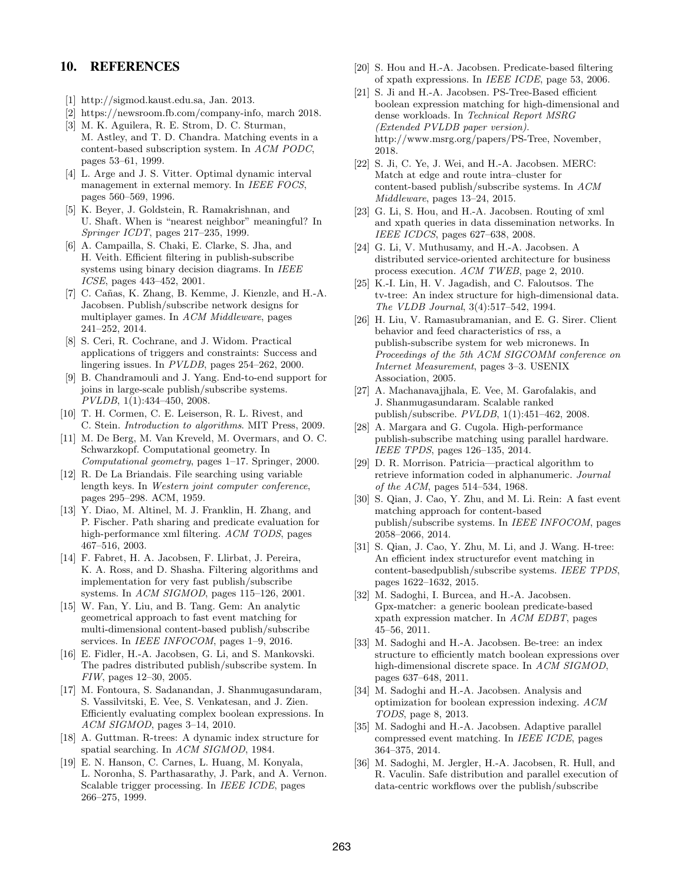# 10. REFERENCES

- [1] http://sigmod.kaust.edu.sa, Jan. 2013.
- [2] https://newsroom.fb.com/company-info, march 2018.
- [3] M. K. Aguilera, R. E. Strom, D. C. Sturman, M. Astley, and T. D. Chandra. Matching events in a content-based subscription system. In ACM PODC, pages 53–61, 1999.
- [4] L. Arge and J. S. Vitter. Optimal dynamic interval management in external memory. In IEEE FOCS, pages 560–569, 1996.
- [5] K. Beyer, J. Goldstein, R. Ramakrishnan, and U. Shaft. When is "nearest neighbor" meaningful? In Springer ICDT, pages 217–235, 1999.
- [6] A. Campailla, S. Chaki, E. Clarke, S. Jha, and H. Veith. Efficient filtering in publish-subscribe systems using binary decision diagrams. In IEEE ICSE, pages 443–452, 2001.
- [7] C. Cañas, K. Zhang, B. Kemme, J. Kienzle, and H.-A. Jacobsen. Publish/subscribe network designs for multiplayer games. In ACM Middleware, pages 241–252, 2014.
- [8] S. Ceri, R. Cochrane, and J. Widom. Practical applications of triggers and constraints: Success and lingering issues. In PVLDB, pages 254–262, 2000.
- [9] B. Chandramouli and J. Yang. End-to-end support for joins in large-scale publish/subscribe systems. PVLDB, 1(1):434–450, 2008.
- [10] T. H. Cormen, C. E. Leiserson, R. L. Rivest, and C. Stein. Introduction to algorithms. MIT Press, 2009.
- [11] M. De Berg, M. Van Kreveld, M. Overmars, and O. C. Schwarzkopf. Computational geometry. In Computational geometry, pages 1–17. Springer, 2000.
- [12] R. De La Briandais. File searching using variable length keys. In Western joint computer conference, pages 295–298. ACM, 1959.
- [13] Y. Diao, M. Altinel, M. J. Franklin, H. Zhang, and P. Fischer. Path sharing and predicate evaluation for high-performance xml filtering. ACM TODS, pages 467–516, 2003.
- [14] F. Fabret, H. A. Jacobsen, F. Llirbat, J. Pereira, K. A. Ross, and D. Shasha. Filtering algorithms and implementation for very fast publish/subscribe systems. In ACM SIGMOD, pages 115–126, 2001.
- [15] W. Fan, Y. Liu, and B. Tang. Gem: An analytic geometrical approach to fast event matching for multi-dimensional content-based publish/subscribe services. In *IEEE INFOCOM*, pages 1–9, 2016.
- [16] E. Fidler, H.-A. Jacobsen, G. Li, and S. Mankovski. The padres distributed publish/subscribe system. In FIW, pages 12–30, 2005.
- [17] M. Fontoura, S. Sadanandan, J. Shanmugasundaram, S. Vassilvitski, E. Vee, S. Venkatesan, and J. Zien. Efficiently evaluating complex boolean expressions. In ACM SIGMOD, pages 3–14, 2010.
- [18] A. Guttman. R-trees: A dynamic index structure for spatial searching. In ACM SIGMOD, 1984.
- [19] E. N. Hanson, C. Carnes, L. Huang, M. Konyala, L. Noronha, S. Parthasarathy, J. Park, and A. Vernon. Scalable trigger processing. In IEEE ICDE, pages 266–275, 1999.
- [20] S. Hou and H.-A. Jacobsen. Predicate-based filtering of xpath expressions. In IEEE ICDE, page 53, 2006.
- [21] S. Ji and H.-A. Jacobsen. PS-Tree-Based efficient boolean expression matching for high-dimensional and dense workloads. In Technical Report MSRG (Extended PVLDB paper version). http://www.msrg.org/papers/PS-Tree, November, 2018.
- [22] S. Ji, C. Ye, J. Wei, and H.-A. Jacobsen. MERC: Match at edge and route intra–cluster for content-based publish/subscribe systems. In ACM Middleware, pages 13–24, 2015.
- [23] G. Li, S. Hou, and H.-A. Jacobsen. Routing of xml and xpath queries in data dissemination networks. In IEEE ICDCS, pages 627–638, 2008.
- [24] G. Li, V. Muthusamy, and H.-A. Jacobsen. A distributed service-oriented architecture for business process execution. ACM TWEB, page 2, 2010.
- [25] K.-I. Lin, H. V. Jagadish, and C. Faloutsos. The tv-tree: An index structure for high-dimensional data. The VLDB Journal, 3(4):517–542, 1994.
- [26] H. Liu, V. Ramasubramanian, and E. G. Sirer. Client behavior and feed characteristics of rss, a publish-subscribe system for web micronews. In Proceedings of the 5th ACM SIGCOMM conference on Internet Measurement, pages 3–3. USENIX Association, 2005.
- [27] A. Machanavajjhala, E. Vee, M. Garofalakis, and J. Shanmugasundaram. Scalable ranked publish/subscribe. PVLDB, 1(1):451–462, 2008.
- [28] A. Margara and G. Cugola. High-performance publish-subscribe matching using parallel hardware. IEEE TPDS, pages 126–135, 2014.
- [29] D. R. Morrison. Patricia—practical algorithm to retrieve information coded in alphanumeric. Journal of the ACM, pages 514–534, 1968.
- [30] S. Qian, J. Cao, Y. Zhu, and M. Li. Rein: A fast event matching approach for content-based publish/subscribe systems. In IEEE INFOCOM, pages 2058–2066, 2014.
- [31] S. Qian, J. Cao, Y. Zhu, M. Li, and J. Wang. H-tree: An efficient index structurefor event matching in content-basedpublish/subscribe systems. IEEE TPDS, pages 1622–1632, 2015.
- [32] M. Sadoghi, I. Burcea, and H.-A. Jacobsen. Gpx-matcher: a generic boolean predicate-based xpath expression matcher. In ACM EDBT, pages 45–56, 2011.
- [33] M. Sadoghi and H.-A. Jacobsen. Be-tree: an index structure to efficiently match boolean expressions over high-dimensional discrete space. In ACM SIGMOD, pages 637–648, 2011.
- [34] M. Sadoghi and H.-A. Jacobsen. Analysis and optimization for boolean expression indexing. ACM TODS, page 8, 2013.
- [35] M. Sadoghi and H.-A. Jacobsen. Adaptive parallel compressed event matching. In IEEE ICDE, pages 364–375, 2014.
- [36] M. Sadoghi, M. Jergler, H.-A. Jacobsen, R. Hull, and R. Vaculin. Safe distribution and parallel execution of data-centric workflows over the publish/subscribe